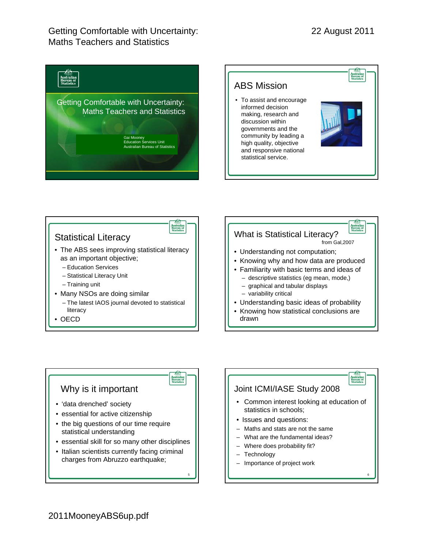## Getting Comfortable with Uncertainty: Maths Teachers and Statistics











6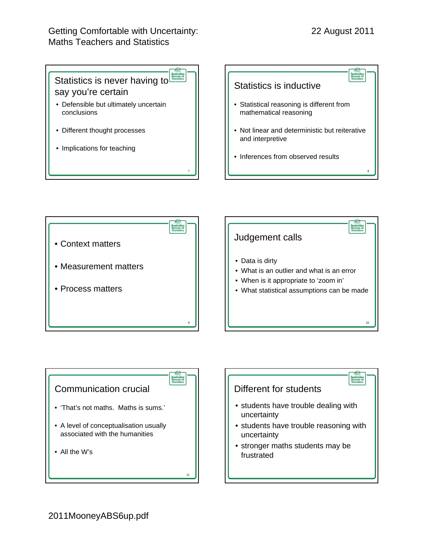